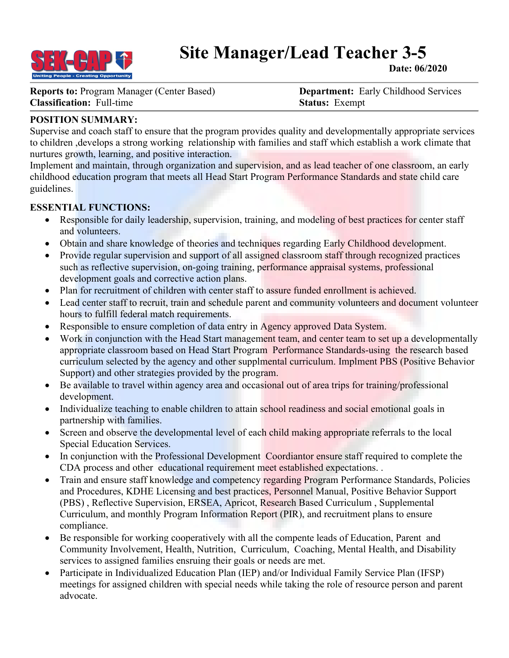

# **Site Manager/Lead Teacher 3-5**

**Date: 06/2020**

**Reports to:** Program Manager (Center Based) **Department:** Early Childhood Services **Classification:** Full-time **Status:** Exempt

## **POSITION SUMMARY:**

Supervise and coach staff to ensure that the program provides quality and developmentally appropriate services to children ,develops a strong working relationship with families and staff which establish a work climate that nurtures growth, learning, and positive interaction.

Implement and maintain, through organization and supervision, and as lead teacher of one classroom, an early childhood education program that meets all Head Start Program Performance Standards and state child care guidelines.

### **ESSENTIAL FUNCTIONS:**

- Responsible for daily leadership, supervision, training, and modeling of best practices for center staff and volunteers.
- Obtain and share knowledge of theories and techniques regarding Early Childhood development.
- Provide regular supervision and support of all assigned classroom staff through recognized practices such as reflective supervision, on-going training, performance appraisal systems, professional development goals and corrective action plans.
- Plan for recruitment of children with center staff to assure funded enrollment is achieved.
- Lead center staff to recruit, train and schedule parent and community volunteers and document volunteer hours to fulfill federal match requirements.
- Responsible to ensure completion of data entry in Agency approved Data System.
- Work in conjunction with the Head Start management team, and center team to set up a developmentally appropriate classroom based on Head Start Program Performance Standards-using the research based curriculum selected by the agency and other supplmental curriculum. Implment PBS (Positive Behavior Support) and other strategies provided by the program.
- Be available to travel within agency area and occasional out of area trips for training/professional development.
- Individualize teaching to enable children to attain school readiness and social emotional goals in partnership with families.
- Screen and observe the developmental level of each child making appropriate referrals to the local Special Education Services.
- In conjunction with the Professional Development Coordiantor ensure staff required to complete the CDA process and other educational requirement meet established expectations. .
- Train and ensure staff knowledge and competency regarding Program Performance Standards, Policies and Procedures, KDHE Licensing and best practices, Personnel Manual, Positive Behavior Support (PBS) , Reflective Supervision, ERSEA, Apricot, Research Based Curriculum , Supplemental Curriculum, and monthly Program Information Report (PIR), and recruitment plans to ensure compliance.
- Be responsible for working cooperatively with all the compente leads of Education, Parent and Community Involvement, Health, Nutrition, Curriculum, Coaching, Mental Health, and Disability services to assigned families ensruing their goals or needs are met.
- Participate in Individualized Education Plan (IEP) and/or Individual Family Service Plan (IFSP) meetings for assigned children with special needs while taking the role of resource person and parent advocate.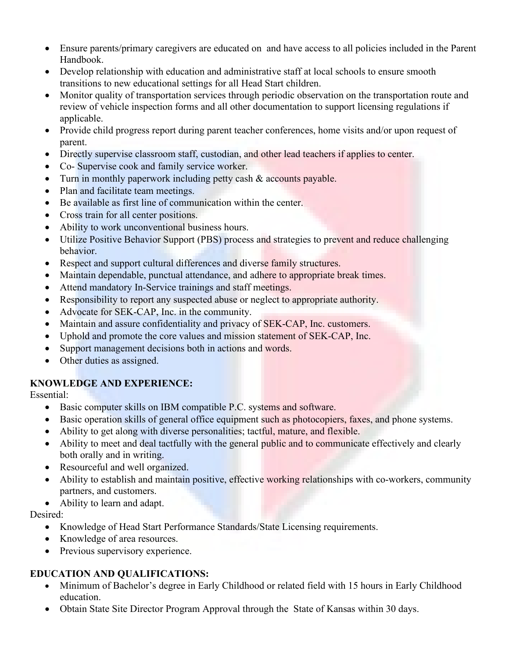- Ensure parents/primary caregivers are educated on and have access to all policies included in the Parent Handbook.
- Develop relationship with education and administrative staff at local schools to ensure smooth transitions to new educational settings for all Head Start children.
- Monitor quality of transportation services through periodic observation on the transportation route and review of vehicle inspection forms and all other documentation to support licensing regulations if applicable.
- Provide child progress report during parent teacher conferences, home visits and/or upon request of parent.
- Directly supervise classroom staff, custodian, and other lead teachers if applies to center.
- Co- Supervise cook and family service worker.
- Turn in monthly paperwork including petty cash & accounts payable.
- Plan and facilitate team meetings.
- Be available as first line of communication within the center.
- Cross train for all center positions.
- Ability to work unconventional business hours.
- Utilize Positive Behavior Support (PBS) process and strategies to prevent and reduce challenging behavior.
- Respect and support cultural differences and diverse family structures.
- Maintain dependable, punctual attendance, and adhere to appropriate break times.
- Attend mandatory In-Service trainings and staff meetings.
- Responsibility to report any suspected abuse or neglect to appropriate authority.
- Advocate for SEK-CAP, Inc. in the community.
- Maintain and assure confidentiality and privacy of SEK-CAP, Inc. customers.
- Uphold and promote the core values and mission statement of SEK-CAP, Inc.
- Support management decisions both in actions and words.
- Other duties as assigned.

## **KNOWLEDGE AND EXPERIENCE:**

Essential:

- Basic computer skills on IBM compatible P.C. systems and software.
- Basic operation skills of general office equipment such as photocopiers, faxes, and phone systems.
- Ability to get along with diverse personalities; tactful, mature, and flexible.
- Ability to meet and deal tactfully with the general public and to communicate effectively and clearly both orally and in writing.
- Resourceful and well organized.
- Ability to establish and maintain positive, effective working relationships with co-workers, community partners, and customers.
- Ability to learn and adapt.

Desired:

- Knowledge of Head Start Performance Standards/State Licensing requirements.
- Knowledge of area resources.
- Previous supervisory experience.

## **EDUCATION AND QUALIFICATIONS:**

- Minimum of Bachelor's degree in Early Childhood or related field with 15 hours in Early Childhood education.
- Obtain State Site Director Program Approval through the State of Kansas within 30 days.